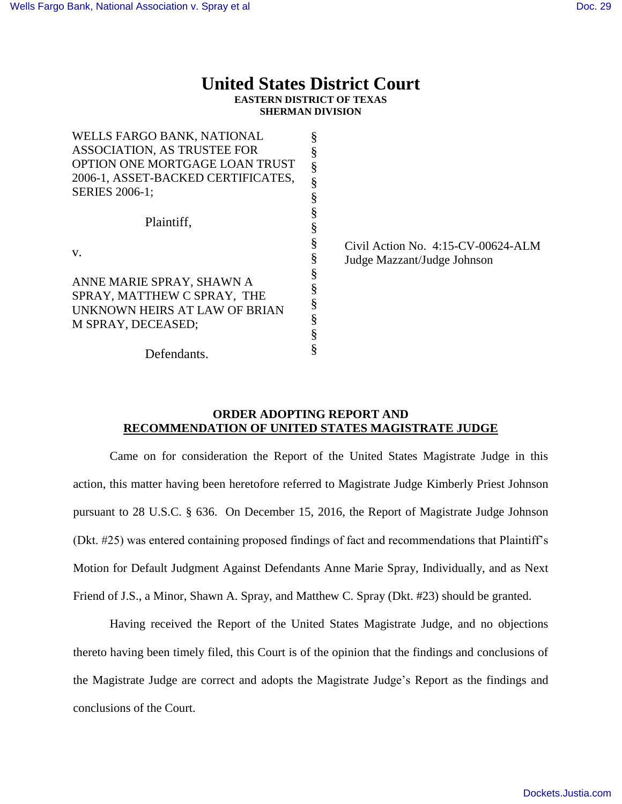## **United States District Court**

**EASTERN DISTRICT OF TEXAS SHERMAN DIVISION**

| WELLS FARGO BANK, NATIONAL                                                                                            |                                       |
|-----------------------------------------------------------------------------------------------------------------------|---------------------------------------|
| ASSOCIATION, AS TRUSTEE FOR                                                                                           |                                       |
| OPTION ONE MORTGAGE LOAN TRUST                                                                                        |                                       |
| 2006-1, ASSET-BACKED CERTIFICATES,                                                                                    |                                       |
| <b>SERIES 2006-1;</b>                                                                                                 |                                       |
| Plaintiff,                                                                                                            |                                       |
|                                                                                                                       |                                       |
|                                                                                                                       |                                       |
| V.<br>ANNE MARIE SPRAY, SHAWN A<br>SPRAY, MATTHEW C SPRAY, THE<br>UNKNOWN HEIRS AT LAW OF BRIAN<br>M SPRAY, DECEASED; | Civil Action No. $4:15$ -CV-00624-ALM |
|                                                                                                                       | Judge Mazzant/Judge Johnson           |
|                                                                                                                       |                                       |
|                                                                                                                       |                                       |
|                                                                                                                       |                                       |
|                                                                                                                       |                                       |
|                                                                                                                       |                                       |
|                                                                                                                       |                                       |
| Defendants.                                                                                                           |                                       |

## **ORDER ADOPTING REPORT AND RECOMMENDATION OF UNITED STATES MAGISTRATE JUDGE**

Came on for consideration the Report of the United States Magistrate Judge in this action, this matter having been heretofore referred to Magistrate Judge Kimberly Priest Johnson pursuant to 28 U.S.C. § 636. On December 15, 2016, the Report of Magistrate Judge Johnson (Dkt. #25) was entered containing proposed findings of fact and recommendations that Plaintiff's Motion for Default Judgment Against Defendants Anne Marie Spray, Individually, and as Next Friend of J.S., a Minor, Shawn A. Spray, and Matthew C. Spray (Dkt. #23) should be granted.

Having received the Report of the United States Magistrate Judge, and no objections thereto having been timely filed, this Court is of the opinion that the findings and conclusions of the Magistrate Judge are correct and adopts the Magistrate Judge's Report as the findings and conclusions of the Court.